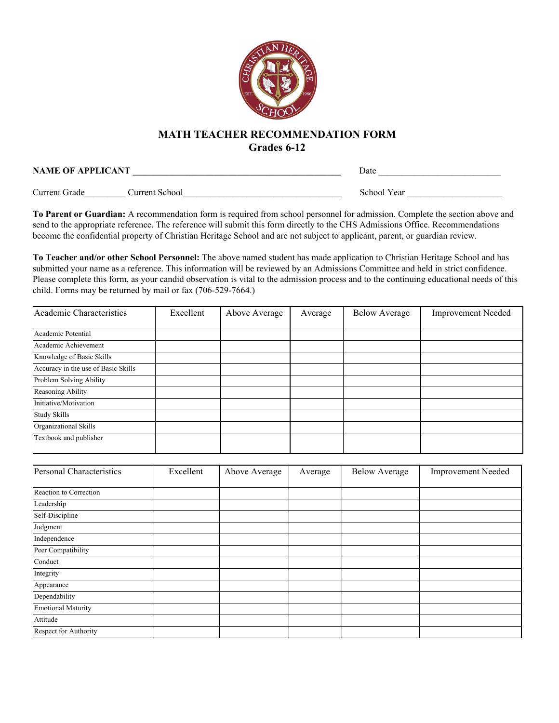

## **MATH TEACHER RECOMMENDATION FORM**

**Grades 6-12**

**NAME OF APPLICANT \_\_\_\_\_\_\_\_\_\_\_\_\_\_\_\_\_\_\_\_\_\_\_\_\_\_\_\_\_\_\_\_\_\_\_\_\_\_\_\_\_\_\_\_\_\_** Date \_\_\_\_\_\_\_\_\_\_\_\_\_\_\_\_\_\_\_\_\_\_\_\_\_\_\_ Current Grade\_\_\_\_\_\_\_\_\_ Current School\_\_\_\_\_\_\_\_\_\_\_\_\_\_\_\_\_\_\_\_\_\_\_\_\_\_\_\_\_\_\_\_\_\_\_ School Year \_\_\_\_\_\_\_\_\_\_\_\_\_\_\_\_\_\_\_\_\_

**To Parent or Guardian:** A recommendation form is required from school personnel for admission. Complete the section above and send to the appropriate reference. The reference will submit this form directly to the CHS Admissions Office. Recommendations become the confidential property of Christian Heritage School and are not subject to applicant, parent, or guardian review.

**To Teacher and/or other School Personnel:** The above named student has made application to Christian Heritage School and has submitted your name as a reference. This information will be reviewed by an Admissions Committee and held in strict confidence. Please complete this form, as your candid observation is vital to the admission process and to the continuing educational needs of this child. Forms may be returned by mail or fax (706-529-7664.)

| Academic Characteristics            | Excellent | Above Average | Average | <b>Below Average</b> | <b>Improvement Needed</b> |
|-------------------------------------|-----------|---------------|---------|----------------------|---------------------------|
| Academic Potential                  |           |               |         |                      |                           |
| Academic Achievement                |           |               |         |                      |                           |
| Knowledge of Basic Skills           |           |               |         |                      |                           |
| Accuracy in the use of Basic Skills |           |               |         |                      |                           |
| Problem Solving Ability             |           |               |         |                      |                           |
| Reasoning Ability                   |           |               |         |                      |                           |
| Initiative/Motivation               |           |               |         |                      |                           |
| <b>Study Skills</b>                 |           |               |         |                      |                           |
| Organizational Skills               |           |               |         |                      |                           |
| Textbook and publisher              |           |               |         |                      |                           |

| Personal Characteristics  | Excellent | Above Average | Average | <b>Below Average</b> | <b>Improvement Needed</b> |
|---------------------------|-----------|---------------|---------|----------------------|---------------------------|
| Reaction to Correction    |           |               |         |                      |                           |
| Leadership                |           |               |         |                      |                           |
| Self-Discipline           |           |               |         |                      |                           |
| Judgment                  |           |               |         |                      |                           |
| Independence              |           |               |         |                      |                           |
| Peer Compatibility        |           |               |         |                      |                           |
| Conduct                   |           |               |         |                      |                           |
| Integrity                 |           |               |         |                      |                           |
| Appearance                |           |               |         |                      |                           |
| Dependability             |           |               |         |                      |                           |
| <b>Emotional Maturity</b> |           |               |         |                      |                           |
| Attitude                  |           |               |         |                      |                           |
| Respect for Authority     |           |               |         |                      |                           |